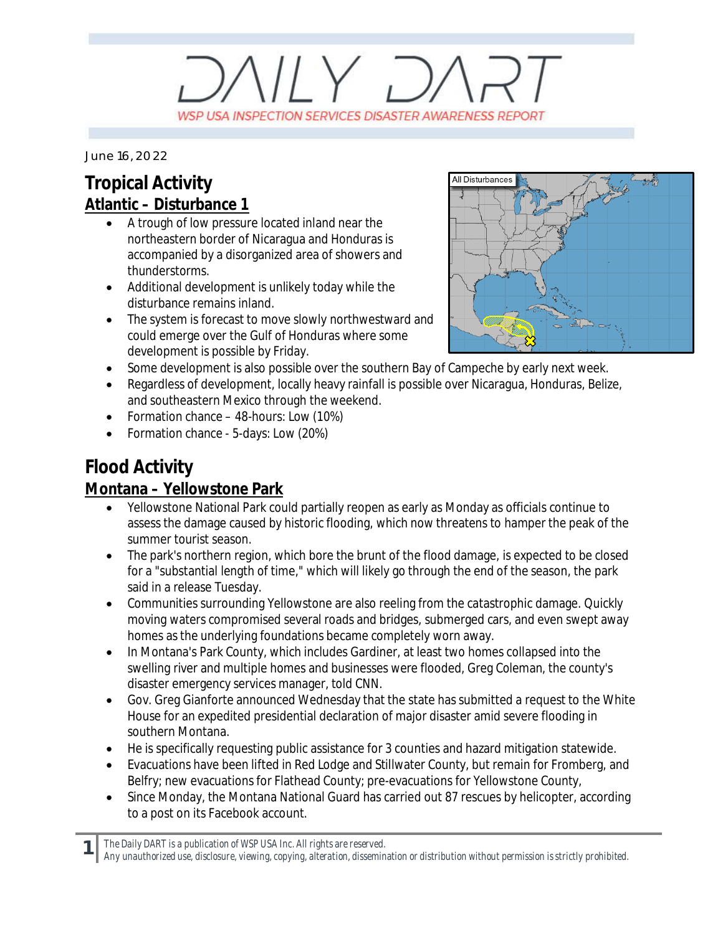# $V/Y$   $D/$ WSP USA INSPECTION SERVICES DISASTER AWARENESS REPORT

*June 16, 2022*

## **Tropical Activity Atlantic – Disturbance 1**

- A trough of low pressure located inland near the northeastern border of Nicaragua and Honduras is accompanied by a disorganized area of showers and thunderstorms.
- · Additional development is unlikely today while the disturbance remains inland.
- The system is forecast to move slowly northwestward and could emerge over the Gulf of Honduras where some development is possible by Friday.



- Some development is also possible over the southern Bay of Campeche by early next week.
- · Regardless of development, locally heavy rainfall is possible over Nicaragua, Honduras, Belize, and southeastern Mexico through the weekend.
- Formation chance 48-hours: Low (10%)
- · Formation chance 5-days: Low (20%)

## **Flood Activity**

## **Montana – Yellowstone Park**

- · Yellowstone National Park could partially reopen as early as Monday as officials continue to assess the damage caused by historic flooding, which now threatens to hamper the peak of the summer tourist season.
- · The park's northern region, which bore the brunt of the flood damage, is expected to be closed for a "substantial length of time," which will likely go through the end of the season, the park said in a release Tuesday.
- · Communities surrounding Yellowstone are also reeling from the catastrophic damage. Quickly moving waters compromised several roads and bridges, submerged cars, and even swept away homes as the underlying foundations became completely worn away.
- · In Montana's Park County, which includes Gardiner, at least two homes collapsed into the swelling river and multiple homes and businesses were flooded, Greg Coleman, the county's disaster emergency services manager, told CNN.
- · Gov. Greg Gianforte announced Wednesday that the state has submitted a request to the White House for an expedited presidential declaration of major disaster amid severe flooding in southern Montana.
- · He is specifically requesting public assistance for 3 counties and hazard mitigation statewide.
- · Evacuations have been lifted in Red Lodge and Stillwater County, but remain for Fromberg, and Belfry; new evacuations for Flathead County; pre-evacuations for Yellowstone County,
- Since Monday, the Montana National Guard has carried out 87 rescues by helicopter, according to a post on its Facebook account.

*The Daily DART is a publication of WSP USA Inc. All rights are reserved.*

**1**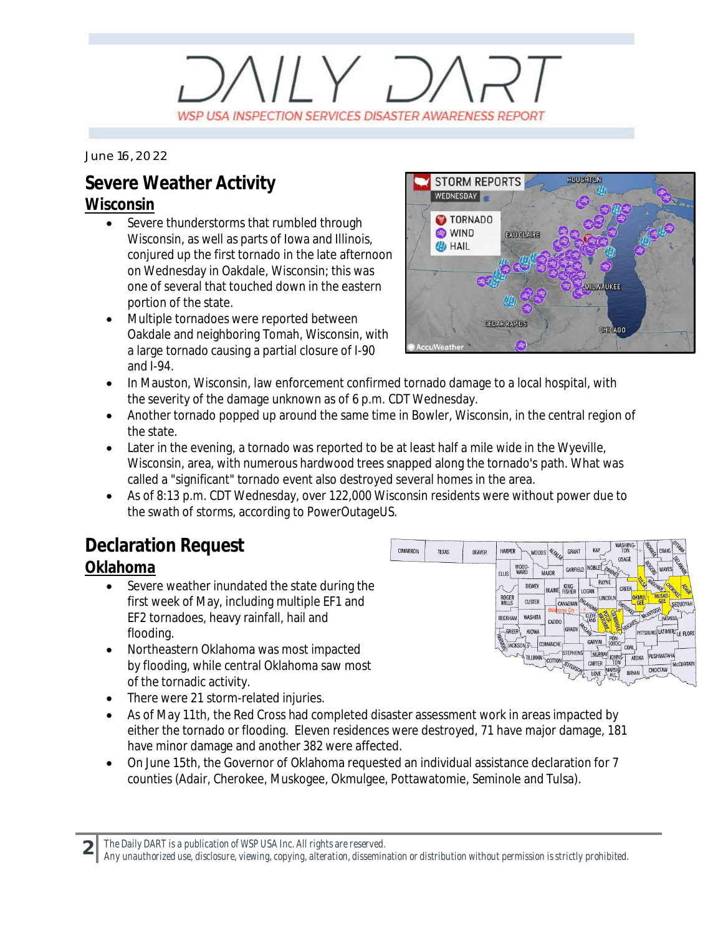# $V/Y$   $D$ WSP USA INSPECTION SERVICES DISASTER AWARENESS REPORT

*June 16, 2022*

# **Severe Weather Activity**

#### **Wisconsin**

- Severe thunderstorms that rumbled through Wisconsin, as well as parts of Iowa and Illinois, conjured up the first tornado in the late afternoon on Wednesday in Oakdale, Wisconsin; this was one of several that touched down in the eastern portion of the state.
- · Multiple tornadoes were reported between Oakdale and neighboring Tomah, Wisconsin, with a large tornado causing a partial closure of I-90 and I-94.



- · In Mauston, Wisconsin, law enforcement confirmed tornado damage to a local hospital, with the severity of the damage unknown as of 6 p.m. CDT Wednesday.
- Another tornado popped up around the same time in Bowler, Wisconsin, in the central region of the state.
- Later in the evening, a tornado was reported to be at least half a mile wide in the Wyeville, Wisconsin, area, with numerous hardwood trees snapped along the tornado's path. What was called a "significant" tornado event also destroyed several homes in the area.
- · As of 8:13 p.m. CDT Wednesday, over 122,000 Wisconsin residents were without power due to the swath of storms, according to PowerOutageUS.

## **Declaration Request**

### **Oklahoma**

- Severe weather inundated the state during the first week of May, including multiple EF1 and EF2 tornadoes, heavy rainfall, hail and flooding.
- · Northeastern Oklahoma was most impacted by flooding, while central Oklahoma saw most of the tornadic activity.
- · There were 21 storm-related injuries.
- · As of May 11th, the Red Cross had completed disaster assessment work in areas impacted by either the tornado or flooding. Eleven residences were destroyed, 71 have major damage, 181 have minor damage and another 382 were affected.
- · On June 15th, the Governor of Oklahoma requested an individual assistance declaration for 7 counties (Adair, Cherokee, Muskogee, Okmulgee, Pottawatomie, Seminole and Tulsa).

**2** *The Daily DART is a publication of WSP USA Inc. All rights are reserved.*

*Any unauthorized use, disclosure, viewing, copying, alteration, dissemination or distribution without permission is strictly prohibited.*